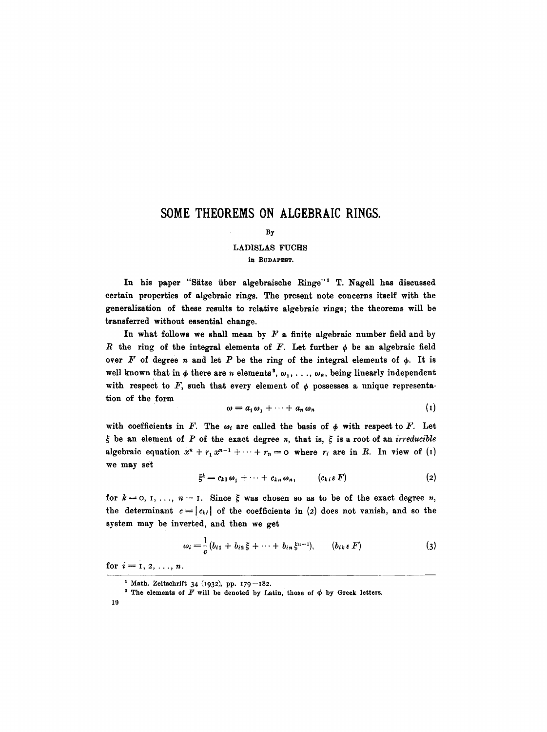## **SOME THEOREMS ON ALGEBRAIC RINGS.**

#### By

# LADISLAS FUCHS

**in BUDAPEST.** 

In his paper "Sätze über algebraische Ringe"<sup>1</sup> T. Nagell has discussed certain properties of algebraic rings. The present note concerns itself with the generalization of these results to relative algebraic rings; the theorems will be transferred without essential change.

In what follows we shall mean by  $F$  a finite algebraic number field and by R the ring of the integral elements of F. Let further  $\phi$  be an algebraic field over F of degree n and let P be the ring of the integral elements of  $\phi$ . It is well known that in  $\phi$  there are n elements<sup>2</sup>,  $\omega_1, \ldots, \omega_n$ , being linearly independent with respect to F, such that every element of  $\phi$  possesses a unique representation of the form

$$
\omega = a_1 \omega_1 + \cdots + a_n \omega_n \tag{1}
$$

with coefficients in F. The  $\omega_i$  are called the basis of  $\phi$  with respect to F. Let  $\xi$  be an element of P of the exact degree n, that is,  $\xi$  is a root of an *irreducible* algebraic equation  $x^n + r_1 x^{n-1} + \cdots + r_n = 0$  where  $r_i$  are in R. In view of (1) we may set

$$
\xi^k = c_{k1}\omega_1 + \cdots + c_{kn}\omega_n, \qquad (c_{k\,i}\,\varepsilon\,F) \tag{2}
$$

for  $k=0, 1, \ldots, n-1$ . Since  $\xi$  was chosen so as to be of the exact degree n, the determinant  $c=|c_{ki}|$  of the coefficients in (2) does not vanish, and so the system may be inverted, and then we get

$$
\omega_i = \frac{1}{c} (b_{i1} + b_{i2} \xi + \cdots + b_{in} \xi^{n-1}), \qquad (b_{ik} \in F)
$$
 (3)

for  $i=1, 2, ..., n$ .

<sup>&</sup>lt;sup>1</sup> Math. Zeitschrift 34 (1932), pp.  $179 - 182$ .

<sup>&</sup>lt;sup>2</sup> The elements of  $F$  will be denoted by Latin, those of  $\phi$  by Greek letters.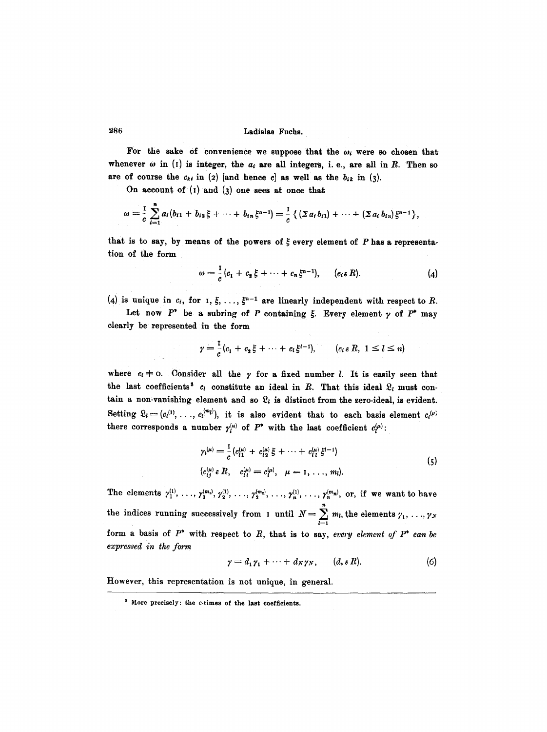### 286 Ladislas Fuchs.

For the sake of convenience we suppose that the  $\omega_i$  were so chosen that whenever  $\omega$  in (1) is integer, the  $a_i$  are all integers, i. e., are all in R. Then so are of course the  $c_{ki}$  in (2) [and hence c] as well as the  $b_{ik}$  in (3).

On account of  $(i)$  and  $(3)$  one sees at once that

$$
\omega = \frac{1}{c} \sum_{i=1}^{n} a_i (b_{i1} + b_{i2} \xi + \cdots + b_{in} \xi^{n-1}) = \frac{1}{c} \left\{ \left( \sum a_i b_{i1} \right) + \cdots + \left( \sum a_i b_{in} \right) \xi^{n-1} \right\},\,
$$

that is to say, by means of the powers of  $\xi$  every element of  $P$  has a representation of the form

$$
\omega = \frac{1}{c} (c_1 + c_2 \xi + \cdots + c_n \xi^{n-1}), \qquad (c_i \varepsilon R). \qquad (4)
$$

(4) is unique in  $c_i$ , for  $I, \xi, \ldots, \xi^{n-1}$  are linearly independent with respect to R.

Let now  $P^*$  be a subring of P containing  $\xi$ . Every element  $\gamma$  of  $P^*$  may clearly be represented in the form

$$
\gamma = \frac{1}{c}(c_1 + c_2\xi + \cdots + c_l\xi^{l-1}), \qquad (c_i \in R, 1 \leq l \leq n)
$$

where  $c_i \neq 0$ . Consider all the  $\gamma$  for a fixed number *l*. It is easily seen that the last coefficients<sup>3</sup>  $c_i$  constitute an ideal in R. That this ideal  $\mathfrak{L}_i$  must contain a non-vanishing element and so  $\mathfrak{L}_l$  is distinct from the zero-ideal, is evident. Setting  $\mathfrak{L}_l = (c_l^{(1)}, \ldots, c_l^{(m_l)})$ , it is also evident that to each basis element  $c_l^{(\nu)}$ there corresponds a number  $\gamma_i^{(u)}$  of  $P^*$  with the last coefficient  $c_i^{(u)}$ :

$$
\gamma_l^{(\mu)} = \frac{1}{c} \left( c_{l1}^{(\mu)} + c_{l2}^{(\mu)} \xi + \dots + c_{l1}^{(\mu)} \xi^{l-1} \right)
$$
  
\n
$$
\left( c_{lj}^{(\mu)} \epsilon R, \quad c_{l1}^{(\mu)} = c_{l}^{(\mu)}, \quad \mu = 1, \dots, m_l \right).
$$
\n(5)

The elements  $\gamma_1^{(1)}, \ldots, \gamma_1^{(m_1)}, \gamma_2^{(1)}, \ldots, \gamma_2^{(m_2)}, \ldots, \gamma_n^{(1)}, \ldots, \gamma_n^{(m_n)},$  or, if we want to have the indices running successively from I until  $N = \sum_i m_i$ , the elements  $\gamma_1, \ldots, \gamma_N$  $_{l=1}$ form a basis of  $P^*$  with respect to  $R$ , that is to say, *every element of*  $P^*$  can be *expressed in the form* 

$$
\gamma = d_1 \gamma_1 + \cdots + d_N \gamma_N, \qquad (d_* \varepsilon R). \tag{6}
$$

However, this representation is not unique, in general.

s More precisely: the c-times of the last coefficients.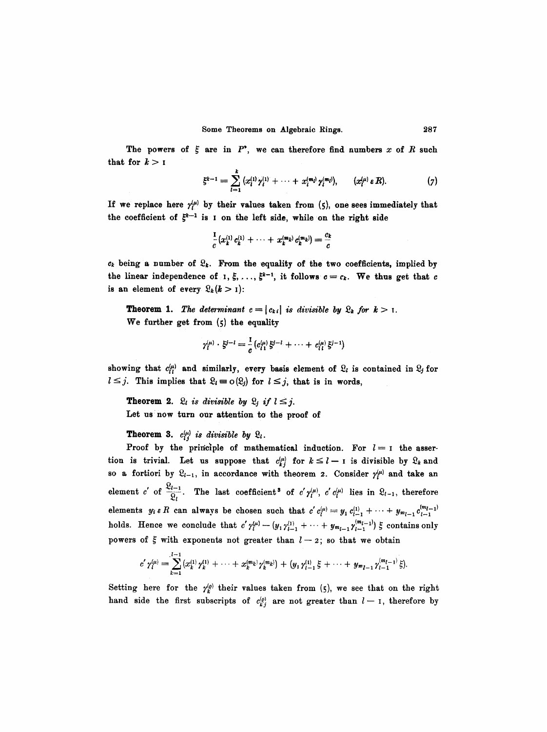The powers of  $\xi$  are in  $P^*$ , we can therefore find numbers x of R such that for  $k > 1$ 

$$
\xi^{k-1} = \sum_{l=1}^k (x_l^{(1)} \gamma_l^{(1)} + \cdots + x_l^{(m_l)} \gamma_l^{(m_l)}), \qquad (x_l^{(u)} \varepsilon R). \qquad (7)
$$

If we replace here  $\gamma_i^{(\mu)}$  by their values taken from (5), one sees immediately that the coefficient of  $\xi^{k-1}$  is I on the left side, while on the right side

$$
\frac{1}{c}(x_k^{(1)}c_k^{(1)} + \cdots + x_k^{(m_k)}c_k^{(m_k)}) = \frac{c_k}{c}
$$

 $c_k$  being a number of  $\mathfrak{L}_k$ . From the equality of the two coefficients, implied by the linear independence of  $I$ ,  $\zeta$ , ...,  $\zeta^{k-1}$ , it follows  $c = c_k$ . We thus get that *c* is an element of every  $\mathfrak{L}_k(k > 1)$ :

**Theorem 1.** *The determinant*  $c = |c_{ki}|$  *is divisible by*  $\mathcal{Q}_k$  *for*  $k > 1$ . We further get from (5) the equality

$$
\gamma_l^{(\mu)} \cdot \xi^{j-l} = \frac{1}{c} (c_{l1}^{(\mu)} \xi^{j-l} + \cdots + c_{l1}^{(\mu)} \xi^{j-1})
$$

showing that  $c_{ij}^{(\mu)}$  and similarly, every basis element of  $\mathfrak{L}_i$  is contained in  $\mathfrak{L}_j$  for  $l\leq j$ . This implies that  $\mathfrak{L}_l=\mathrm{o}(\mathfrak{L}_j)$  for  $l\leq j$ , that is in words,

**Theorem 2.**  $\Omega_i$  *is divisible by*  $\Omega_j$  *if*  $l \leq j$ . Let us now turn our attention to the proof of

**Theorem 3.**  $c_{ij}^{(\mu)}$  is divisible by  $\mathfrak{L}_l$ .

Proof by the principle of mathematical induction. For  $l=1$  the assertion is trivial. Let us suppose that  $c_{kj}^{(\mu)}$  for  $k \leq l-1$  is divisible by  $\mathcal{Q}_k$  and so a fortiori by  $\mathfrak{L}_{l-1}$ , in accordance with theorem 2. Consider  $\gamma_l^{(\mu)}$  and take an element c' of  $\frac{\mathfrak{L}_{l-1}}{\mathfrak{L}_l}$ . The last coefficient<sup>3</sup> of  $c'p_l^{(\mu)}$ ,  $c'c_l^{(\mu)}$  lies in  $\mathfrak{L}_{l-1}$ , therefore elements  $y_i \in R$  can always be chosen such that  $c' c_i^{(\mu)} = y_1 c_{l-1}^{(1)} + \cdots + y_{m_{l-1}} c_{l-1}^{(m_{l-1})}$ holds. Hence we conclude that  $c' \gamma_l^{(\mu)} - (y_1 \gamma_{l-1}^{(1)} + \cdots + y_{m_{l-1}} \gamma_{l-1}^{(m_{l-1})}) \xi$  contains only powers of  $\xi$  with exponents not greater than  $l-2$ ; so that we obtain

$$
c'\gamma_l^{(u)}=\sum_{k=1}^{l-1}(x_k^{(1)}\gamma_k^{(1)}+\cdots+x_k^{(m_k)}\gamma_k^{(m_k)})+(y_1\gamma_{l-1}^{(1)}\xi+\cdots+y_{m_{l-1}}\gamma_{l-1}^{(m_{l-1})}\xi).
$$

Setting here for the  $\gamma_k^{(p)}$  their values taken from (5), we see that on the right hand side the first subscripts of  $c_{kj}^{(o)}$  are not greater than  $l-1$ , therefore by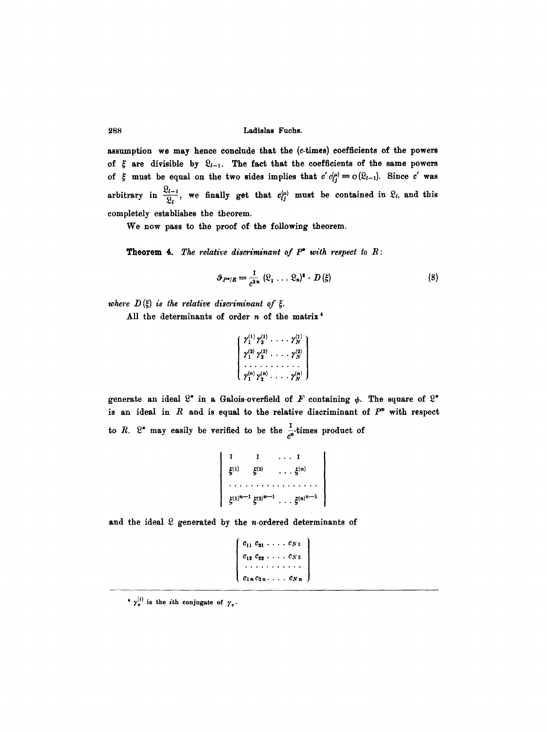### **288 Ladislas Fuchs.**

assumption we may hence conclude that the (e-times) coefficients of the powers of  $\xi$  are divisible by  $\mathfrak{L}_{l-1}$ . The fact that the coefficients of the same powers of  $\zeta$  must be equal on the two sides implies that  $c'c_{ij}^{(\mu)}=o(\Omega_{l-1})$ . Since c' was arbitrary in  $\frac{\mathfrak{L}_{l-1}}{\mathfrak{L}_l}$ , we finally get that  $c_{ij}^{(\mu)}$  must be contained in  $\mathfrak{L}_l$ , and this completely establishes the theorem.

We now pass to the proof of the following theorem.

**Theorem** 4. The *relative diseriminant of P\* with respect to R:* 

$$
\vartheta_{P^{\bullet}/R} = \frac{1}{c^{2n}} (\Omega_1 \ldots \Omega_n)^2 \cdot D(\xi)
$$
 (8)

where  $D(\xi)$  is the relative discriminant of  $\xi$ .

All the determinants of order  $n$  of the matrix<sup>4</sup>

```
\left\{ \begin{array}{l} \gamma_1^{(1)} \, \gamma_2^{(1)} \, \, . \, \, . \, \, . \, \, . \, \gamma_N^{(1)} \ \gamma_1^{(2)} \, \, . \, \, . \, \, . \, \, . \, \, . \, \gamma_N^{(2)} \ \, . \, \, . \, \, . \, . \, . \, . \, . \, \cdots \, . \ \gamma_n^{(n)} \, \, \gamma_n^{(n)} \, . \, . \, . \, . \, . \, \cdots \, . \end{array} \right\}
```
generate an ideal  $S^*$  in a Galois-overfield of F containing  $\phi$ . The square of  $S^*$ is an ideal in  $R$  and is equal to the relative discriminant of  $P^*$  with respect to R.  $\mathbb{R}^*$  may easily be verified to be the  $\frac{1}{n}$ -times product of

```
I I ... I 
9 ,~ . .. ........... 
r(n)^{n-1} r(n)^{n-1} r(n)^{n-1}
```
and the ideal  $\Omega$  generated by the n-ordered determinants of

```
c_{11} c_{21} \ldots c_{N1}\begin{bmatrix} \cdots & \cdots & \cdots & \cdots \\ \cdots & \cdots & \cdots & \cdots & \cdots \end{bmatrix}~lne2n .... CNn
```
 $\gamma_{\nu}^{(i)}$  is the *i*th conjugate of  $\gamma_{\nu}$ .